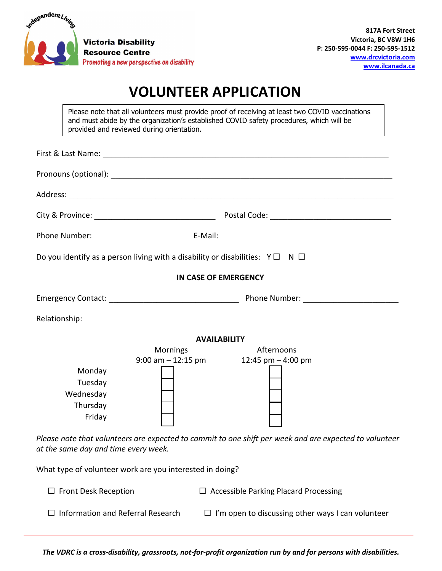

## **VOLUNTEER APPLICATION**

Please note that all volunteers must provide proof of receiving at least two COVID vaccinations and must abide by the organization's established COVID safety procedures, which will be provided and reviewed during orientation.

| <b>Mornings</b> | Afternoons |                                                                                                                                                                                                                                                                                                 |
|-----------------|------------|-------------------------------------------------------------------------------------------------------------------------------------------------------------------------------------------------------------------------------------------------------------------------------------------------|
|                 |            |                                                                                                                                                                                                                                                                                                 |
|                 |            | Do you identify as a person living with a disability or disabilities: $Y \Box N \Box$<br>IN CASE OF EMERGENCY<br><b>AVAILABILITY</b><br>$9:00$ am $-12:15$ pm<br>12:45 pm $-$ 4:00 pm<br>Please note that volunteers are expected to commit to one shift per week and are expected to volunteer |

*Please note that volunteers are expected to commit to one shift per week and are expected to volunteer at the same day and time every week.*

What type of volunteer work are you interested in doing?

☐ Front Desk Reception ☐ Accessible Parking Placard Processing

☐ Information and Referral Research ☐ I'm open to discussing other ways I can volunteer

*The VDRC is a cross-disability, grassroots, not-for-profit organization run by and for persons with disabilities.*